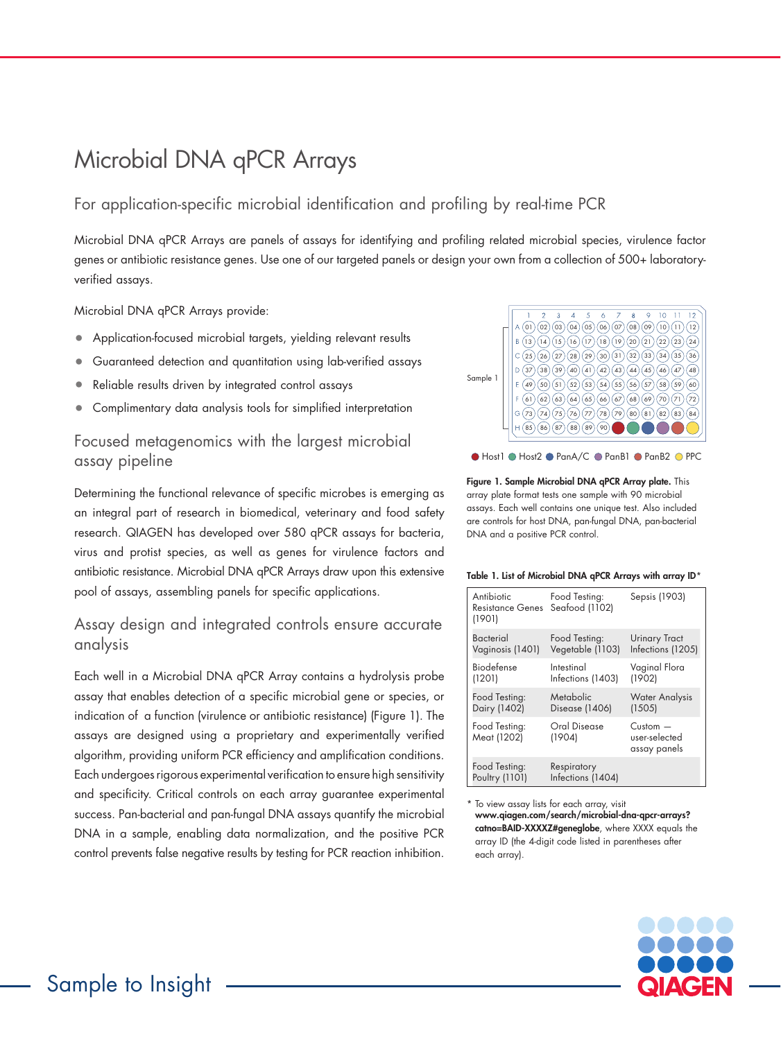# Microbial DNA qPCR Arrays

For application-specific microbial identification and profiling by real-time PCR

Microbial DNA qPCR Arrays are panels of assays for identifying and profiling related microbial species, virulence factor genes or antibiotic resistance genes. Use one of our targeted panels or design your own from a collection of 500+ laboratoryverified assays.

Microbial DNA qPCR Arrays provide:

- Application-focused microbial targets, yielding relevant results
- Guaranteed detection and quantitation using lab-verified assays
- Reliable results driven by integrated control assays
- Complimentary data analysis tools for simplified interpretation

### Focused metagenomics with the largest microbial assay pipeline

Determining the functional relevance of specific microbes is emerging as an integral part of research in biomedical, veterinary and food safety research. QIAGEN has developed over 580 qPCR assays for bacteria, virus and protist species, as well as genes for virulence factors and antibiotic resistance. Microbial DNA qPCR Arrays draw upon this extensive pool of assays, assembling panels for specific applications.

### Assay design and integrated controls ensure accurate analysis

Each well in a Microbial DNA qPCR Array contains a hydrolysis probe assay that enables detection of a specific microbial gene or species, or indication of a function (virulence or antibiotic resistance) (Figure 1). The assays are designed using a proprietary and experimentally verified algorithm, providing uniform PCR efficiency and amplification conditions. Each undergoes rigorous experimental verification to ensure high sensitivity and specificity. Critical controls on each array guarantee experimental success. Pan-bacterial and pan-fungal DNA assays quantify the microbial DNA in a sample, enabling data normalization, and the positive PCR control prevents false negative results by testing for PCR reaction inhibition.



● Host1 ● Host2 ● PanA/C ● PanB1 ● PanB2 ● PPC

Figure 1. Sample Microbial DNA qPCR Array plate. This array plate format tests one sample with 90 microbial assays. Each well contains one unique test. Also included are controls for host DNA, pan-fungal DNA, pan-bacterial DNA and a positive PCR control.

#### Table 1. List of Microbial DNA qPCR Arrays with array ID\*

| Antibiotic<br>Resistance Genes Seafood (1102)<br>(1901) | Food Testing:                     | Sepsis (1903)                                  |
|---------------------------------------------------------|-----------------------------------|------------------------------------------------|
| <b>Bacterial</b><br>Vaginosis (1401)                    | Food Testing:<br>Vegetable (1103) | <b>Urinary Tract</b><br>Infections (1205)      |
| Biodefense<br>(1201)                                    | Intestinal<br>Infections (1403)   | Vaginal Flora<br>(1902)                        |
| Food Testing:<br>Dairy (1402)                           | Metabolic<br>Disease (1406)       | <b>Water Analysis</b><br>(1505)                |
| Food Testing:<br>Meat (1202)                            | Oral Disease<br>(1904)            | $C$ ustom $-$<br>user-selected<br>assay panels |
| Food Testing:<br>Poultry (1101)                         | Respiratory<br>Infections (1404)  |                                                |

To view assay lists for each array, visit www.qiagen.com/search/microbial-dna-qpcr-arrays? catno=BAID-XXXXZ#geneglobe, where XXXX equals the array ID (the 4-digit code listed in parentheses after each array).